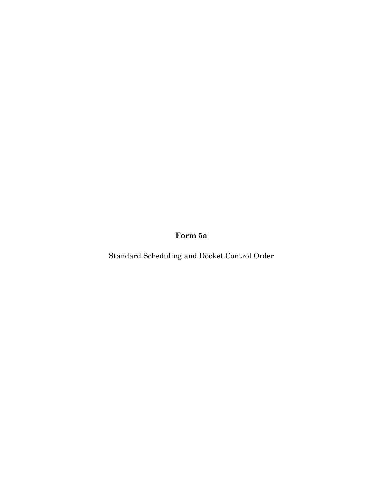**Form 5a**

Standard Scheduling and Docket Control Order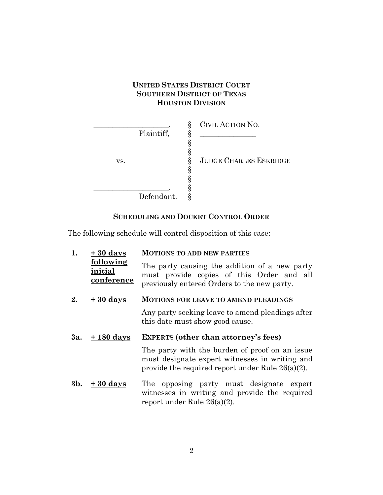# **UNITED STATES DISTRICT COURT SOUTHERN DISTRICT OF TEXAS HOUSTON DIVISION**

|     |            | CIVIL ACTION NO.              |
|-----|------------|-------------------------------|
|     | Plaintiff, |                               |
|     |            |                               |
| VS. |            | <b>JUDGE CHARLES ESKRIDGE</b> |
|     |            |                               |
|     |            |                               |
|     |            |                               |
|     | Defendant. |                               |

# **SCHEDULING AND DOCKET CONTROL ORDER**

The following schedule will control disposition of this case:

| 1.  | $+30$ days                         | <b>MOTIONS TO ADD NEW PARTIES</b>                                                                                                                       |  |
|-----|------------------------------------|---------------------------------------------------------------------------------------------------------------------------------------------------------|--|
|     | following<br>initial<br>conference | The party causing the addition of a new party<br>must provide copies of this Order and all<br>previously entered Orders to the new party.               |  |
| 2.  | $+30$ days                         | <b>MOTIONS FOR LEAVE TO AMEND PLEADINGS</b>                                                                                                             |  |
|     |                                    | Any party seeking leave to amend pleadings after<br>this date must show good cause.                                                                     |  |
| 3a. | + 180 days                         | <b>EXPERTS</b> (other than attorney's fees)                                                                                                             |  |
|     |                                    |                                                                                                                                                         |  |
|     |                                    | The party with the burden of proof on an issue<br>must designate expert witnesses in writing and<br>provide the required report under Rule $26(a)(2)$ . |  |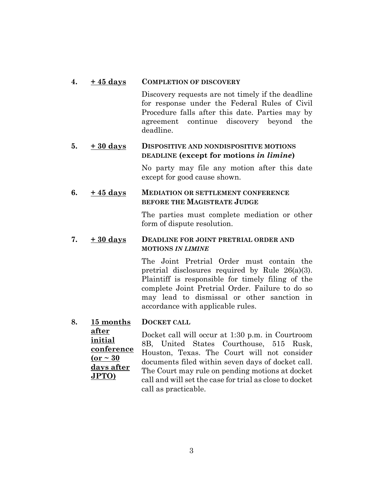### **4. + 45 days COMPLETION OF DISCOVERY**

Discovery requests are not timely if the deadline for response under the Federal Rules of Civil Procedure falls after this date. Parties may by agreement continue discovery beyond the deadline.

# **5. + 30 days DISPOSITIVE AND NONDISPOSITIVE MOTIONS DEADLINE (except for motions** *in limine***)**

No party may file any motion after this date except for good cause shown.

# **6. + 45 days MEDIATION OR SETTLEMENT CONFERENCE BEFORE THE MAGISTRATE JUDGE**

The parties must complete mediation or other form of dispute resolution.

### **7. + 30 days DEADLINE FOR JOINT PRETRIAL ORDER AND MOTIONS** *IN LIMINE*

The Joint Pretrial Order must contain the pretrial disclosures required by Rule 26(a)(3). Plaintiff is responsible for timely filing of the complete Joint Pretrial Order. Failure to do so may lead to dismissal or other sanction in accordance with applicable rules.

#### **8. 15 months DOCKET CALL**

**after** 

**initial conference**  $($ or  $\sim$  30 **days after JPTO)** Docket call will occur at 1:30 p.m. in Courtroom 8B, United States Courthouse, 515 Rusk, Houston, Texas. The Court will not consider documents filed within seven days of docket call. The Court may rule on pending motions at docket call and will set the case for trial as close to docket call as practicable.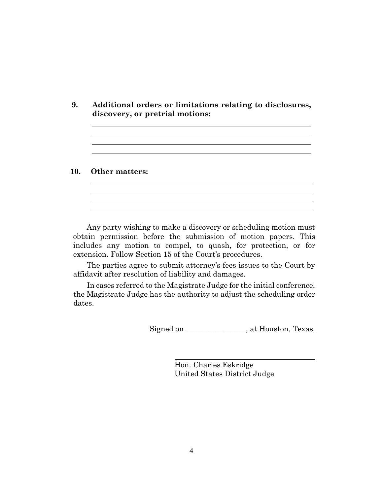**9. Additional orders or limitations relating to disclosures, discovery, or pretrial motions:**

#### **10. Other matters:**

Any party wishing to make a discovery or scheduling motion must obtain permission before the submission of motion papers. This includes any motion to compel, to quash, for protection, or for extension. Follow Section 15 of the Court's procedures.

The parties agree to submit attorney's fees issues to the Court by affidavit after resolution of liability and damages.

In cases referred to the Magistrate Judge for the initial conference, the Magistrate Judge has the authority to adjust the scheduling order dates.

Signed on \_\_\_\_\_\_\_\_\_\_\_\_\_\_\_, at Houston, Texas.

i<br>L

Hon. Charles Eskridge United States District Judge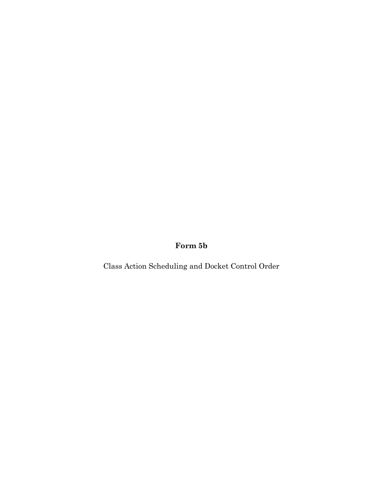**Form 5b**

Class Action Scheduling and Docket Control Order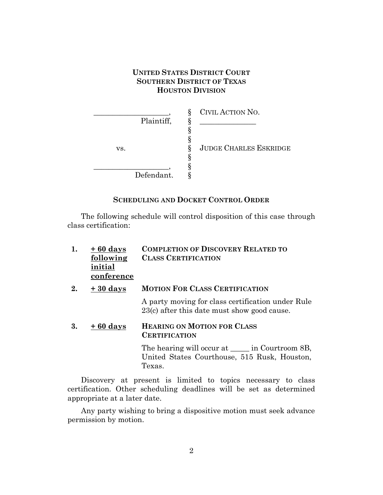# **UNITED STATES DISTRICT COURT SOUTHERN DISTRICT OF TEXAS HOUSTON DIVISION**

| Plaintiff, | CIVIL ACTION NO.              |
|------------|-------------------------------|
| VS.        | <b>JUDGE CHARLES ESKRIDGE</b> |
| Defendant. |                               |

# **SCHEDULING AND DOCKET CONTROL ORDER**

The following schedule will control disposition of this case through class certification:

| 1. | $+60$ days<br>following<br>initial<br>conference | <b>COMPLETION OF DISCOVERY RELATED TO</b><br><b>CLASS CERTIFICATION</b>                                          |
|----|--------------------------------------------------|------------------------------------------------------------------------------------------------------------------|
| 2. | $+30$ days                                       | <b>MOTION FOR CLASS CERTIFICATION</b>                                                                            |
|    |                                                  | A party moving for class certification under Rule<br>$23(c)$ after this date must show good cause.               |
| 3. | $+60$ days                                       | <b>HEARING ON MOTION FOR CLASS</b><br><b>CERTIFICATION</b>                                                       |
|    |                                                  | The hearing will occur at <u>each</u> in Courtroom 8B,<br>United States Courthouse, 515 Rusk, Houston,<br>Texas. |

Discovery at present is limited to topics necessary to class certification. Other scheduling deadlines will be set as determined appropriate at a later date.

Any party wishing to bring a dispositive motion must seek advance permission by motion.